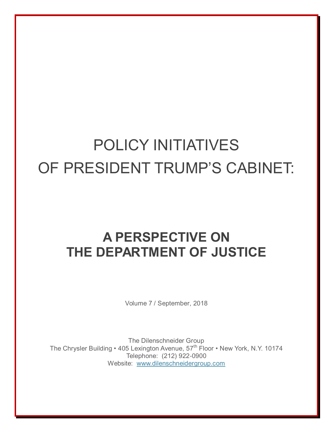## POLICY INITIATIVES OF PRESIDENT TRUMP'S CABINET:

## **A PERSPECTIVE ON THE DEPARTMENT OF JUSTICE**

Volume 7 / September, 2018

The Dilenschneider Group The Chrysler Building • 405 Lexington Avenue, 57<sup>th</sup> Floor • New York, N.Y. 10174 Telephone: (212) 922-0900 Website: [www.dilenschneidergroup.com](http://www.dilenschneidergroup.com/)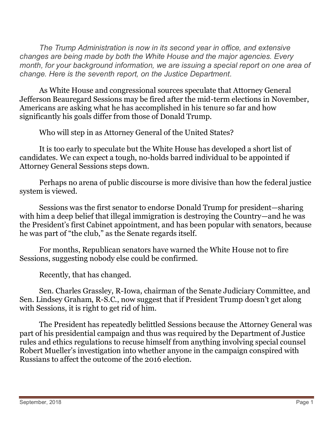*The Trump Administration is now in its second year in office, and extensive changes are being made by both the White House and the major agencies. Every month, for your background information, we are issuing a special report on one area of change. Here is the seventh report, on the Justice Department.* 

As White House and congressional sources speculate that Attorney General Jefferson Beauregard Sessions may be fired after the mid-term elections in November, Americans are asking what he has accomplished in his tenure so far and how significantly his goals differ from those of Donald Trump.

Who will step in as Attorney General of the United States?

It is too early to speculate but the White House has developed a short list of candidates. We can expect a tough, no-holds barred individual to be appointed if Attorney General Sessions steps down.

Perhaps no arena of public discourse is more divisive than how the federal justice system is viewed.

Sessions was the first senator to endorse Donald Trump for president—sharing with him a deep belief that illegal immigration is destroying the Country—and he was the President's first Cabinet appointment, and has been popular with senators, because he was part of "the club," as the Senate regards itself.

For months, Republican senators have warned the White House not to fire Sessions, suggesting nobody else could be confirmed.

Recently, that has changed.

Sen. Charles Grassley, R-Iowa, chairman of the Senate Judiciary Committee, and Sen. Lindsey Graham, R-S.C., now suggest that if President Trump doesn't get along with Sessions, it is right to get rid of him.

The President has repeatedly belittled Sessions because the Attorney General was part of his presidential campaign and thus was required by the Department of Justice rules and ethics regulations to recuse himself from anything involving special counsel Robert Mueller's investigation into whether anyone in the campaign conspired with Russians to affect the outcome of the 2016 election.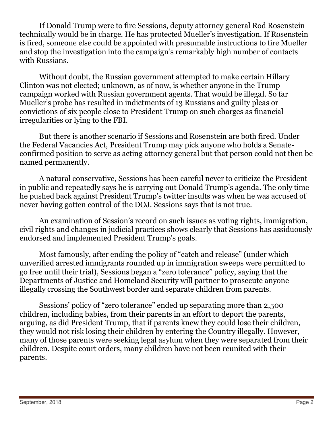If Donald Trump were to fire Sessions, deputy attorney general Rod Rosenstein technically would be in charge. He has protected Mueller's investigation. If Rosenstein is fired, someone else could be appointed with presumable instructions to fire Mueller and stop the investigation into the campaign's remarkably high number of contacts with Russians.

Without doubt, the Russian government attempted to make certain Hillary Clinton was not elected; unknown, as of now, is whether anyone in the Trump campaign worked with Russian government agents. That would be illegal. So far Mueller's probe has resulted in indictments of 13 Russians and guilty pleas or convictions of six people close to President Trump on such charges as financial irregularities or lying to the FBI.

But there is another scenario if Sessions and Rosenstein are both fired. Under the Federal Vacancies Act, President Trump may pick anyone who holds a Senateconfirmed position to serve as acting attorney general but that person could not then be named permanently.

A natural conservative, Sessions has been careful never to criticize the President in public and repeatedly says he is carrying out Donald Trump's agenda. The only time he pushed back against President Trump's twitter insults was when he was accused of never having gotten control of the DOJ. Sessions says that is not true.

An examination of Session's record on such issues as voting rights, immigration, civil rights and changes in judicial practices shows clearly that Sessions has assiduously endorsed and implemented President Trump's goals.

Most famously, after ending the policy of "catch and release" (under which unverified arrested immigrants rounded up in immigration sweeps were permitted to go free until their trial), Sessions began a "zero tolerance" policy, saying that the Departments of Justice and Homeland Security will partner to prosecute anyone illegally crossing the Southwest border and separate children from parents.

Sessions' policy of "zero tolerance" ended up separating more than 2,500 children, including babies, from their parents in an effort to deport the parents, arguing, as did President Trump, that if parents knew they could lose their children, they would not risk losing their children by entering the Country illegally. However, many of those parents were seeking legal asylum when they were separated from their children. Despite court orders, many children have not been reunited with their parents.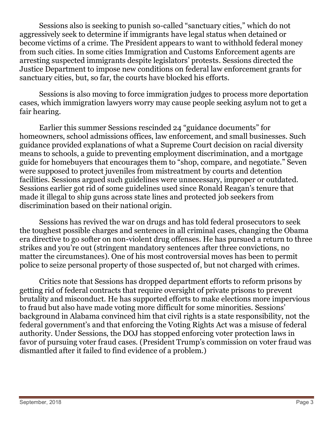Sessions also is seeking to punish so-called "sanctuary cities," which do not aggressively seek to determine if immigrants have legal status when detained or become victims of a crime. The President appears to want to withhold federal money from such cities. In some cities Immigration and Customs Enforcement agents are arresting suspected immigrants despite legislators' protests. Sessions directed the Justice Department to impose new conditions on federal law enforcement grants for sanctuary cities, but, so far, the courts have blocked his efforts.

Sessions is also moving to force immigration judges to process more deportation cases, which immigration lawyers worry may cause people seeking asylum not to get a fair hearing.

Earlier this summer Sessions rescinded 24 "guidance documents" for homeowners, school admissions offices, law enforcement, and small businesses. Such guidance provided explanations of what a Supreme Court decision on racial diversity means to schools, a guide to preventing employment discrimination, and a mortgage guide for homebuyers that encourages them to "shop, compare, and negotiate." Seven were supposed to protect juveniles from mistreatment by courts and detention facilities. Sessions argued such guidelines were unnecessary, improper or outdated. Sessions earlier got rid of some guidelines used since Ronald Reagan's tenure that made it illegal to ship guns across state lines and protected job seekers from discrimination based on their national origin.

Sessions has revived the war on drugs and has told federal prosecutors to seek the toughest possible charges and sentences in all criminal cases, changing the Obama era directive to go softer on non-violent drug offenses. He has pursued a return to three strikes and you're out (stringent mandatory sentences after three convictions, no matter the circumstances). One of his most controversial moves has been to permit police to seize personal property of those suspected of, but not charged with crimes.

Critics note that Sessions has dropped department efforts to reform prisons by getting rid of federal contracts that require oversight of private prisons to prevent brutality and misconduct. He has supported efforts to make elections more impervious to fraud but also have made voting more difficult for some minorities. Sessions' background in Alabama convinced him that civil rights is a state responsibility, not the federal government's and that enforcing the Voting Rights Act was a misuse of federal authority. Under Sessions, the DOJ has stopped enforcing voter protection laws in favor of pursuing voter fraud cases. (President Trump's commission on voter fraud was dismantled after it failed to find evidence of a problem.)